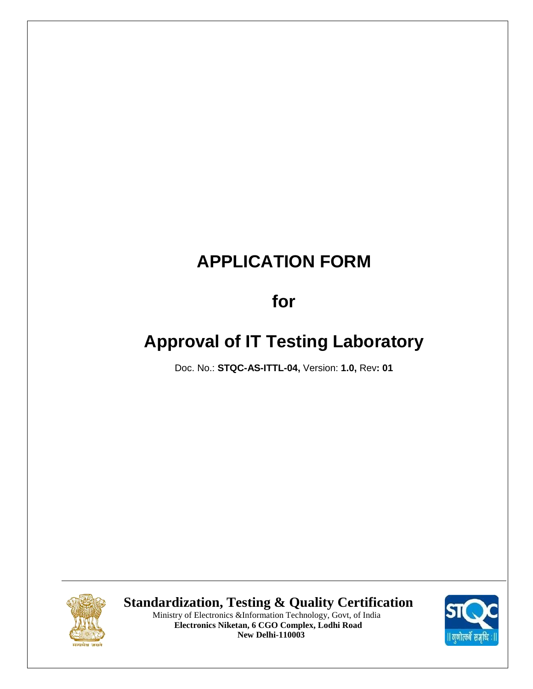# **for**

# **Approval of IT Testing Laboratory**

Doc. No.: **STQC-AS-ITTL-04,** Version: **1.0,** Rev**: 01**



 **Standardization, Testing & Quality Certification**



 Ministry of Electronics &Information Technology, Govt, of India  **Electronics Niketan, 6 CGO Complex, Lodhi Road New Delhi-110003**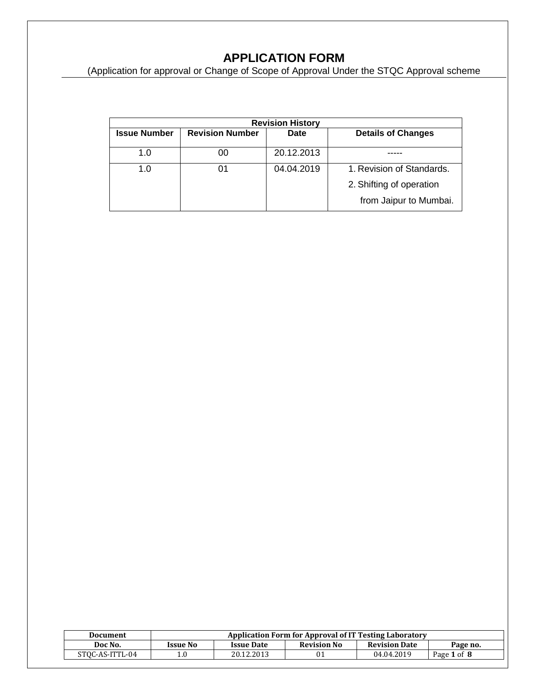(Application for approval or Change of Scope of Approval Under the STQC Approval scheme

| <b>Revision History</b> |                        |            |                           |  |  |  |
|-------------------------|------------------------|------------|---------------------------|--|--|--|
| <b>Issue Number</b>     | <b>Revision Number</b> |            | <b>Details of Changes</b> |  |  |  |
| 1.0                     | 00                     | 20.12.2013 |                           |  |  |  |
| 1.0                     | 01                     | 04.04.2019 | 1. Revision of Standards. |  |  |  |
|                         |                        |            | 2. Shifting of operation  |  |  |  |
|                         |                        |            | from Jaipur to Mumbai.    |  |  |  |

| Document        | <b>Application Form for Approval of IT Testing Laboratory</b> |                                                                             |  |            |             |  |  |
|-----------------|---------------------------------------------------------------|-----------------------------------------------------------------------------|--|------------|-------------|--|--|
| Doc No.         | <b>Issue No</b>                                               | <b>Revision No</b><br><b>Revision Date</b><br><b>Issue Date</b><br>Page no. |  |            |             |  |  |
| STOC-AS-ITTL-04 |                                                               | 20.12.2013                                                                  |  | 04.04.2019 | Page 1 of 8 |  |  |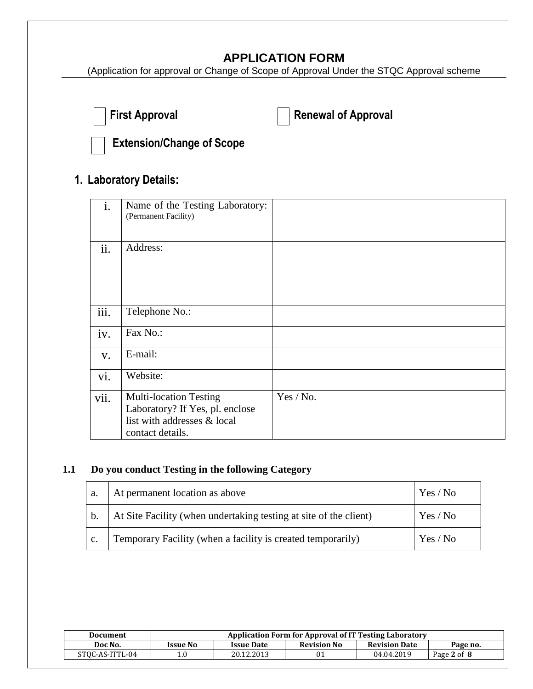(Application for approval or Change of Scope of Approval Under the STQC Approval scheme

|  | First Appro |
|--|-------------|
|--|-------------|

**Figure Approval Contracts Figure 2** Renewal of Approval



**Extension/Change of Scope** 

# **1. Laboratory Details:**

| $\mathbf{i}$ . | Name of the Testing Laboratory:<br>(Permanent Facility)                                                             |           |
|----------------|---------------------------------------------------------------------------------------------------------------------|-----------|
| ii.            | Address:                                                                                                            |           |
| iii.           | Telephone No.:                                                                                                      |           |
| iv.            | Fax No.:                                                                                                            |           |
| V.             | E-mail:                                                                                                             |           |
| vi.            | Website:                                                                                                            |           |
| vii.           | <b>Multi-location Testing</b><br>Laboratory? If Yes, pl. enclose<br>list with addresses & local<br>contact details. | Yes / No. |

#### **1.1 Do you conduct Testing in the following Category**

| a.            | At permanent location as above                                    | Yes / No |
|---------------|-------------------------------------------------------------------|----------|
| $\mathbf b$ . | At Site Facility (when undertaking testing at site of the client) | Yes / No |
| C.            | Temporary Facility (when a facility is created temporarily)       | Yes / No |

| Document        | Application Form for Approval of IT Testing Laboratory |                                                                             |    |            |             |  |  |  |
|-----------------|--------------------------------------------------------|-----------------------------------------------------------------------------|----|------------|-------------|--|--|--|
| Doc No.         | <b>Issue No</b>                                        | <b>Revision No</b><br><b>Revision Date</b><br><b>Issue Date</b><br>Page no. |    |            |             |  |  |  |
| STOC-AS-ITTL-04 | 1.0                                                    | 20.12.2013                                                                  | 01 | 04.04.2019 | Page 2 of 8 |  |  |  |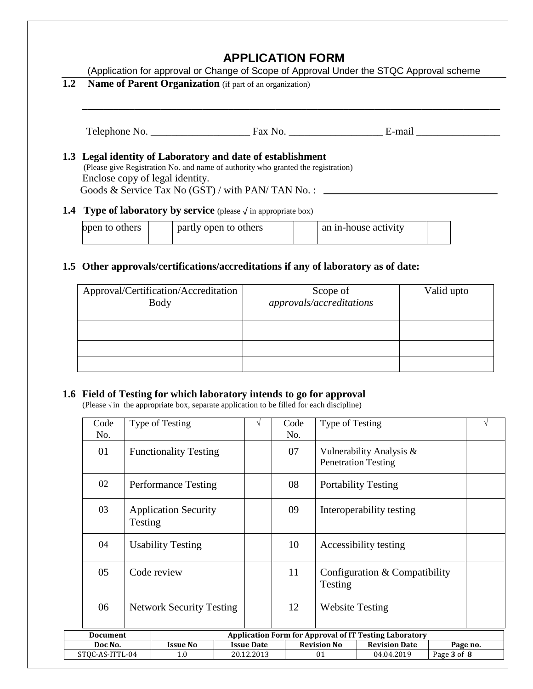|     | (Application for approval or Change of Scope of Approval Under the STQC Approval scheme                                                                                            |  |                       |  |                      |  |                                                                                                                                                                                                                               |  |
|-----|------------------------------------------------------------------------------------------------------------------------------------------------------------------------------------|--|-----------------------|--|----------------------|--|-------------------------------------------------------------------------------------------------------------------------------------------------------------------------------------------------------------------------------|--|
| 1.2 | <b>Name of Parent Organization</b> (if part of an organization)                                                                                                                    |  |                       |  |                      |  |                                                                                                                                                                                                                               |  |
|     |                                                                                                                                                                                    |  |                       |  |                      |  |                                                                                                                                                                                                                               |  |
|     |                                                                                                                                                                                    |  |                       |  |                      |  | E-mail is a series of the series of the series of the series of the series of the series of the series of the series of the series of the series of the series of the series of the series of the series of the series of the |  |
|     | 1.3 Legal identity of Laboratory and date of establishment<br>(Please give Registration No. and name of authority who granted the registration)<br>Enclose copy of legal identity. |  |                       |  |                      |  |                                                                                                                                                                                                                               |  |
|     | <b>1.4 Type of laboratory by service</b> (please $\sqrt{}$ in appropriate box)                                                                                                     |  |                       |  |                      |  |                                                                                                                                                                                                                               |  |
|     | open to others                                                                                                                                                                     |  | partly open to others |  | an in-house activity |  |                                                                                                                                                                                                                               |  |

## **1.5 Other approvals/certifications/accreditations if any of laboratory as of date:**

| Approval/Certification/Accreditation<br><b>Body</b> | Scope of<br>approvals/accreditations | Valid upto |
|-----------------------------------------------------|--------------------------------------|------------|
|                                                     |                                      |            |
|                                                     |                                      |            |
|                                                     |                                      |            |

#### **1.6 Field of Testing for which laboratory intends to go for approval**

(Please  $\sqrt{ }$  in the appropriate box, separate application to be filled for each discipline)

| Code<br>No.     |         | Type of Testing                 |  | V                 | Code<br>No. | Type of Testing                          |                                                               |  |          |
|-----------------|---------|---------------------------------|--|-------------------|-------------|------------------------------------------|---------------------------------------------------------------|--|----------|
| 01              |         | <b>Functionality Testing</b>    |  |                   | 07          |                                          | Vulnerability Analysis &<br><b>Penetration Testing</b>        |  |          |
| 02              |         | <b>Performance Testing</b>      |  |                   | 08          |                                          | <b>Portability Testing</b>                                    |  |          |
| 03              | Testing | <b>Application Security</b>     |  |                   | 09          | Interoperability testing                 |                                                               |  |          |
| 04              |         | <b>Usability Testing</b>        |  |                   | 10          | Accessibility testing                    |                                                               |  |          |
| 05              |         | Code review                     |  |                   | 11          | Configuration & Compatibility<br>Testing |                                                               |  |          |
| 06              |         | <b>Network Security Testing</b> |  |                   | 12          | <b>Website Testing</b>                   |                                                               |  |          |
| <b>Document</b> |         |                                 |  |                   |             |                                          | <b>Application Form for Approval of IT Testing Laboratory</b> |  |          |
| Doc No.         |         | <b>Issue No</b>                 |  | <b>Issue Date</b> |             | <b>Revision No</b>                       | <b>Revision Date</b>                                          |  | Page no. |
| STQC-AS-ITTL-04 |         | 1.0                             |  | 20.12.2013        |             | Page 3 of 8<br>04.04.2019<br>01          |                                                               |  |          |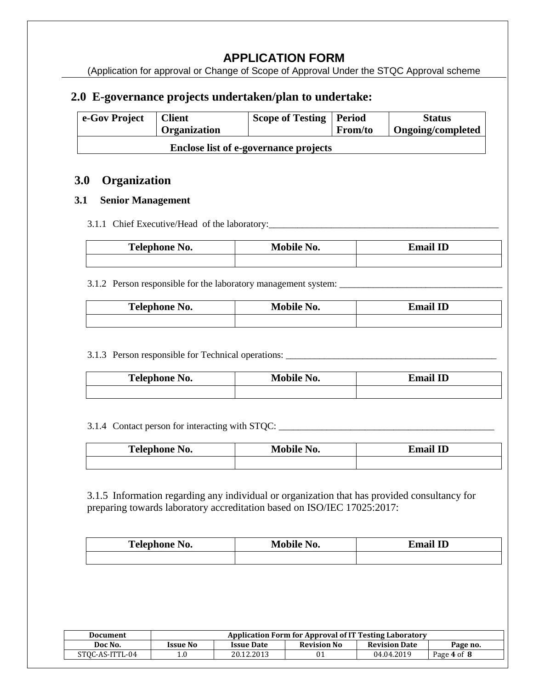(Application for approval or Change of Scope of Approval Under the STQC Approval scheme

## **2.0 E-governance projects undertaken/plan to undertake:**

| e-Gov Project                                | <b>Client</b><br><b>Organization</b> | Scope of Testing   Period | <b>From/to</b> | <b>Status</b><br><b>Ongoing/completed</b> |
|----------------------------------------------|--------------------------------------|---------------------------|----------------|-------------------------------------------|
| <b>Enclose list of e-governance projects</b> |                                      |                           |                |                                           |

### **3.0 Organization**

#### **3.1 Senior Management**

#### 3.1.1 Chief Executive/Head of the laboratory: \_\_\_\_\_\_\_\_\_\_\_\_\_\_\_\_\_\_\_\_\_\_\_\_\_\_\_\_\_\_\_\_\_\_\_

| $\mathbf{r}$<br>Telephone No. | Mobi<br>NO. | Email ID |
|-------------------------------|-------------|----------|
|                               |             |          |

#### 3.1.2 Person responsible for the laboratory management system: \_\_\_\_\_\_\_\_\_\_\_\_\_\_\_\_\_\_\_\_\_\_\_\_\_\_\_\_\_\_\_\_\_\_

| <b>Telephone No.</b> | <b>Mobile No.</b> | Email ID |  |
|----------------------|-------------------|----------|--|
|                      |                   |          |  |

## 3.1.3 Person responsible for Technical operations: \_\_\_\_\_\_\_\_\_\_\_\_\_\_\_\_\_\_\_\_\_\_\_\_\_\_\_\_\_\_

| Telephone No. | $\mathbf{N_{0.}}$<br>$M_0$ kilo | mail ID. |
|---------------|---------------------------------|----------|
|               |                                 |          |

#### 3.1.4 Contact person for interacting with STQC: \_\_\_\_\_\_\_\_\_\_\_\_\_\_\_\_\_\_\_\_\_\_\_\_\_\_\_\_\_\_\_\_\_

| Telephone No. | Mobile No. | Email ID |
|---------------|------------|----------|
|               |            |          |

3.1.5 Information regarding any individual or organization that has provided consultancy for preparing towards laboratory accreditation based on ISO/IEC 17025:2017:

| <b>Telephone No.</b> | Mobile No. | Email ID |
|----------------------|------------|----------|
|                      |            |          |

| Document        | Application Form for Approval of IT Testing Laboratory |                   |                    |                      |             |
|-----------------|--------------------------------------------------------|-------------------|--------------------|----------------------|-------------|
| Doc No.         | <b>Issue No</b>                                        | <b>Issue Date</b> | <b>Revision No</b> | <b>Revision Date</b> | Page no.    |
| STOC-AS-ITTL-04 | 1.0                                                    | 20.12.2013        |                    | 04.04.2019           | Page 4 of 8 |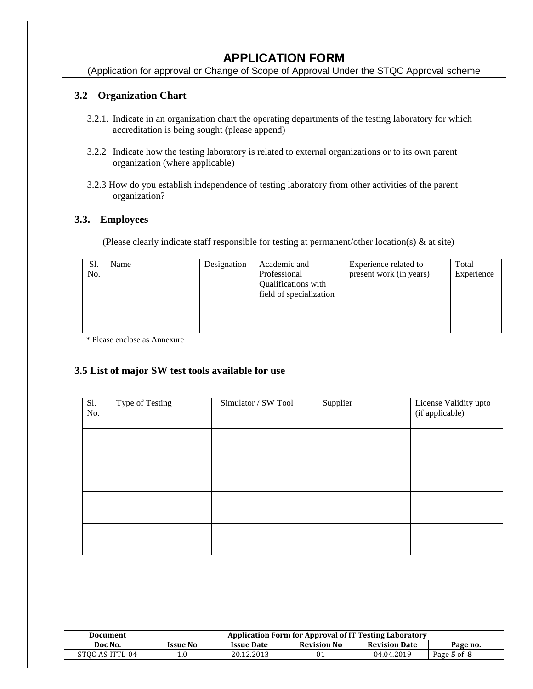(Application for approval or Change of Scope of Approval Under the STQC Approval scheme

#### **3.2 Organization Chart**

- 3.2.1. Indicate in an organization chart the operating departments of the testing laboratory for which accreditation is being sought (please append)
- 3.2.2 Indicate how the testing laboratory is related to external organizations or to its own parent organization (where applicable)
- 3.2.3 How do you establish independence of testing laboratory from other activities of the parent organization?

#### **3.3. Employees**

(Please clearly indicate staff responsible for testing at permanent/other location(s) & at site)

| Sl.<br>No. | Name | Designation | Academic and<br>Professional<br>Qualifications with<br>field of specialization | Experience related to<br>present work (in years) | Total<br>Experience |
|------------|------|-------------|--------------------------------------------------------------------------------|--------------------------------------------------|---------------------|
|            |      |             |                                                                                |                                                  |                     |

\* Please enclose as Annexure

#### **3.5 List of major SW test tools available for use**

| Sl.<br>No. | Type of Testing | Simulator / SW Tool | Supplier | License Validity upto<br>(if applicable) |
|------------|-----------------|---------------------|----------|------------------------------------------|
|            |                 |                     |          |                                          |
|            |                 |                     |          |                                          |
|            |                 |                     |          |                                          |
|            |                 |                     |          |                                          |

| Document        | Application Form for Approval of IT Testing Laboratory                             |            |  |            |             |
|-----------------|------------------------------------------------------------------------------------|------------|--|------------|-------------|
| Doc No.         | <b>Revision No</b><br><b>Revision Date</b><br><b>Issue No</b><br><b>Issue Date</b> |            |  |            | Page no.    |
| STOC-AS-ITTL-04 | $1.0\,$                                                                            | 20.12.2013 |  | 04.04.2019 | Page 5 of 8 |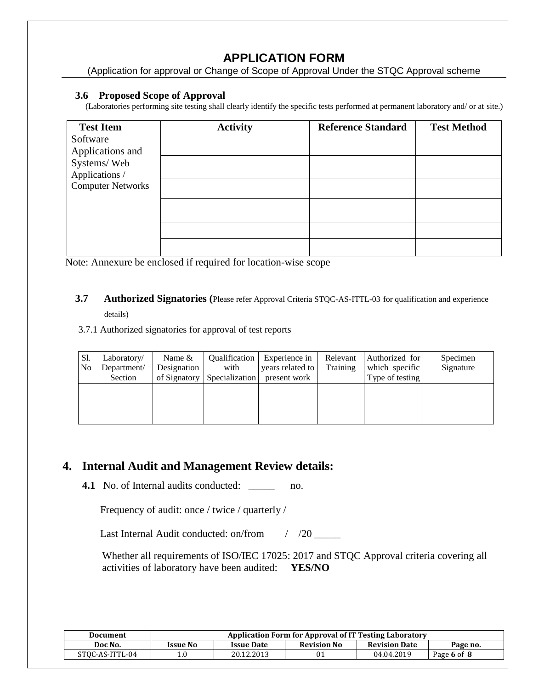(Application for approval or Change of Scope of Approval Under the STQC Approval scheme

#### **3.6 Proposed Scope of Approval**

(Laboratories performing site testing shall clearly identify the specific tests performed at permanent laboratory and/ or at site.)

| <b>Test Item</b>         | <b>Activity</b> | <b>Reference Standard</b> | <b>Test Method</b> |
|--------------------------|-----------------|---------------------------|--------------------|
| Software                 |                 |                           |                    |
| Applications and         |                 |                           |                    |
| Systems/Web              |                 |                           |                    |
| Applications /           |                 |                           |                    |
| <b>Computer Networks</b> |                 |                           |                    |
|                          |                 |                           |                    |
|                          |                 |                           |                    |
|                          |                 |                           |                    |
|                          |                 |                           |                    |
|                          |                 |                           |                    |
|                          |                 |                           |                    |

Note: Annexure be enclosed if required for location-wise scope

**3.7 Authorized Signatories (**Please refer Approval Criteria STQC-AS-ITTL-03 for qualification and experience details)

#### 3.7.1 Authorized signatories for approval of test reports

| Sl.<br>No <sub>1</sub> | Laboratory/<br>Department/ | Name $&$<br>Designation | <i><b>Oualification</b></i><br>with | Experience in<br>years related to | Relevant<br><b>Training</b> | Authorized for<br>which specific | Specimen<br>Signature |
|------------------------|----------------------------|-------------------------|-------------------------------------|-----------------------------------|-----------------------------|----------------------------------|-----------------------|
|                        | Section                    | of Signatory            | Specialization                      | present work                      |                             | Type of testing                  |                       |
|                        |                            |                         |                                     |                                   |                             |                                  |                       |
|                        |                            |                         |                                     |                                   |                             |                                  |                       |
|                        |                            |                         |                                     |                                   |                             |                                  |                       |
|                        |                            |                         |                                     |                                   |                             |                                  |                       |

## **4. Internal Audit and Management Review details:**

**4.1** No. of Internal audits conducted: \_\_\_\_\_\_ no.

Frequency of audit: once / twice / quarterly /

Last Internal Audit conducted: on/from / /20 \_\_\_\_\_

 Whether all requirements of ISO/IEC 17025: 2017 and STQC Approval criteria covering all activities of laboratory have been audited: **YES/NO**

| <b>Document</b> | Application Form for Approval of IT Testing Laboratory |                   |                    |                      |             |
|-----------------|--------------------------------------------------------|-------------------|--------------------|----------------------|-------------|
| Doc No.         | <b>Issue No</b>                                        | <b>Issue Date</b> | <b>Revision No</b> | <b>Revision Date</b> | Page no.    |
| STOC-AS-ITTL-04 |                                                        | 20.12.2013        |                    | 04.04.2019           | Page 6 of 8 |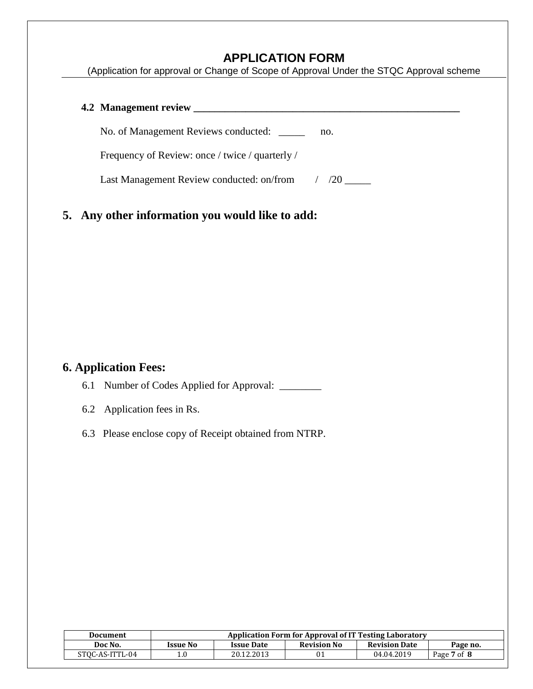(Application for approval or Change of Scope of Approval Under the STQC Approval scheme

| 4.2 Management review                           |                |
|-------------------------------------------------|----------------|
| No. of Management Reviews conducted: ______     | no.            |
| Frequency of Review: once / twice / quarterly / |                |
| Last Management Review conducted: on/from       | $\frac{1}{20}$ |
|                                                 |                |

# **5. Any other information you would like to add:**

## **6. Application Fees:**

6.1 Number of Codes Applied for Approval: \_\_\_\_\_\_\_\_

- 6.2 Application fees in Rs.
- 6.3 Please enclose copy of Receipt obtained from NTRP.

| Document        | Application Form for Approval of IT Testing Laboratory |                   |                    |                      |             |
|-----------------|--------------------------------------------------------|-------------------|--------------------|----------------------|-------------|
| Doc No.         | <b>Issue No</b>                                        | <b>Issue Date</b> | <b>Revision No</b> | <b>Revision Date</b> | Page no.    |
| STOC-AS-ITTL-04 | 1.0                                                    | 20.12.2013        |                    | 04.04.2019           | Page 7 of 8 |